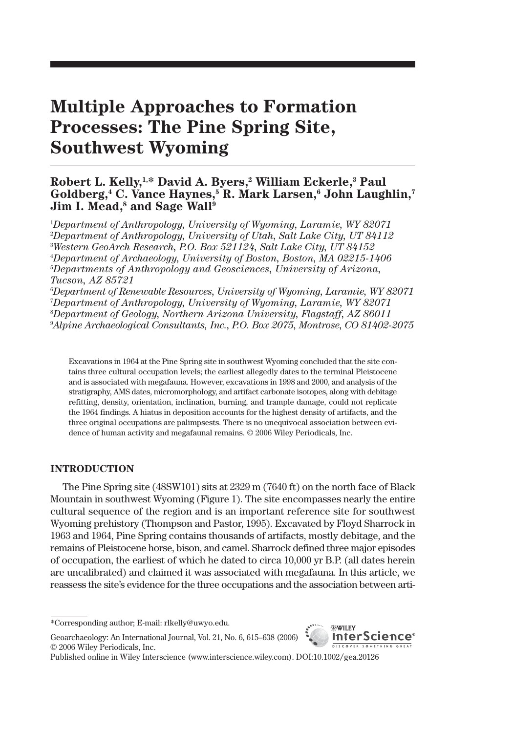# **Multiple Approaches to Formation Processes: The Pine Spring Site, Southwest Wyoming**

## **Robert L. Kelly,1,\* David A. Byers,2 William Eckerle,3 Paul Goldberg,4 C. Vance Haynes,5 R. Mark Larsen,6 John Laughlin,7 Jim I. Mead,<sup>8</sup> and Sage Wall<sup>9</sup>**

 *Department of Anthropology, University of Wyoming, Laramie, WY 82071 Department of Anthropology, University of Utah, Salt Lake City, UT 84112 Western GeoArch Research, P.O. Box 521124, Salt Lake City, UT 84152 Department of Archaeology, University of Boston, Boston, MA 02215-1406 Departments of Anthropology and Geosciences, University of Arizona, Tucson, AZ 85721 Department of Renewable Resources, University of Wyoming, Laramie, WY 82071 Department of Anthropology, University of Wyoming, Laramie, WY 82071 Department of Geology, Northern Arizona University, Flagstaff, AZ 86011* 

Excavations in 1964 at the Pine Spring site in southwest Wyoming concluded that the site contains three cultural occupation levels; the earliest allegedly dates to the terminal Pleistocene and is associated with megafauna. However, excavations in 1998 and 2000, and analysis of the stratigraphy, AMS dates, micromorphology, and artifact carbonate isotopes, along with debitage refitting, density, orientation, inclination, burning, and trample damage, could not replicate the 1964 findings. A hiatus in deposition accounts for the highest density of artifacts, and the three original occupations are palimpsests. There is no unequivocal association between evidence of human activity and megafaunal remains. © 2006 Wiley Periodicals, Inc.

9 *Alpine Archaeological Consultants, Inc., P.O. Box 2075, Montrose, CO 81402-2075*

## **INTRODUCTION**

The Pine Spring site (48SW101) sits at 2329 m (7640 ft) on the north face of Black Mountain in southwest Wyoming (Figure 1). The site encompasses nearly the entire cultural sequence of the region and is an important reference site for southwest Wyoming prehistory (Thompson and Pastor, 1995). Excavated by Floyd Sharrock in 1963 and 1964, Pine Spring contains thousands of artifacts, mostly debitage, and the remains of Pleistocene horse, bison, and camel. Sharrock defined three major episodes of occupation, the earliest of which he dated to circa 10,000 yr B.P. (all dates herein are uncalibrated) and claimed it was associated with megafauna. In this article, we reassess the site's evidence for the three occupations and the association between arti-

Geoarchaeology: An International Journal, Vol. 21, No. 6, 615–638 (2006) © 2006 Wiley Periodicals, Inc.



Published online in Wiley Interscience (www.interscience.wiley.com). DOI:10.1002/gea.20126

<sup>\*</sup>Corresponding author; E-mail: rlkelly@uwyo.edu.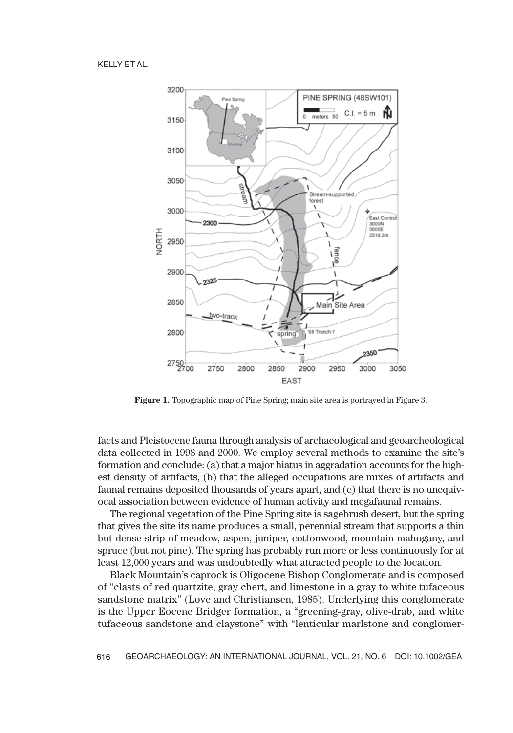

**Figure 1.** Topographic map of Pine Spring; main site area is portrayed in Figure 3.

facts and Pleistocene fauna through analysis of archaeological and geoarcheological data collected in 1998 and 2000. We employ several methods to examine the site's formation and conclude: (a) that a major hiatus in aggradation accounts for the highest density of artifacts, (b) that the alleged occupations are mixes of artifacts and faunal remains deposited thousands of years apart, and (c) that there is no unequivocal association between evidence of human activity and megafaunal remains.

The regional vegetation of the Pine Spring site is sagebrush desert, but the spring that gives the site its name produces a small, perennial stream that supports a thin but dense strip of meadow, aspen, juniper, cottonwood, mountain mahogany, and spruce (but not pine). The spring has probably run more or less continuously for at least 12,000 years and was undoubtedly what attracted people to the location.

Black Mountain's caprock is Oligocene Bishop Conglomerate and is composed of "clasts of red quartzite, gray chert, and limestone in a gray to white tufaceous sandstone matrix" (Love and Christiansen, 1985). Underlying this conglomerate is the Upper Eocene Bridger formation, a "greening-gray, olive-drab, and white tufaceous sandstone and claystone" with "lenticular marlstone and conglomer-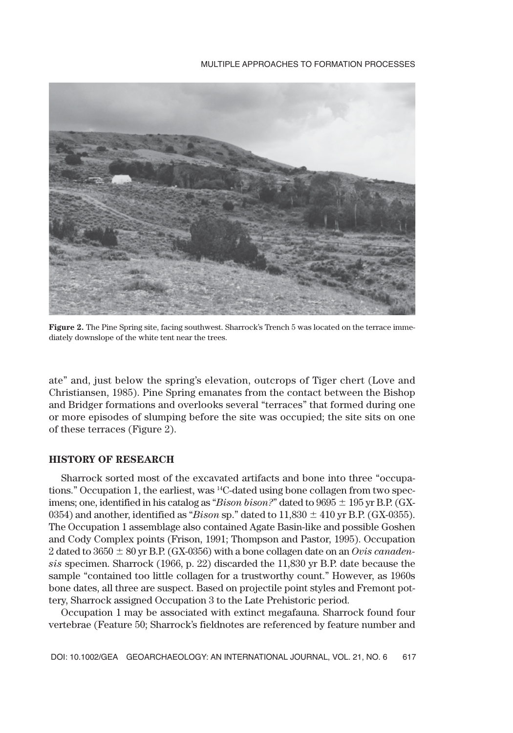

**Figure 2.** The Pine Spring site, facing southwest. Sharrock's Trench 5 was located on the terrace immediately downslope of the white tent near the trees.

ate" and, just below the spring's elevation, outcrops of Tiger chert (Love and Christiansen, 1985). Pine Spring emanates from the contact between the Bishop and Bridger formations and overlooks several "terraces" that formed during one or more episodes of slumping before the site was occupied; the site sits on one of these terraces (Figure 2).

## **HISTORY OF RESEARCH**

Sharrock sorted most of the excavated artifacts and bone into three "occupations." Occupation 1, the earliest, was 14C-dated using bone collagen from two specimens; one, identified in his catalog as "*Bison bison?*" dated to 9695  $\pm$  195 yr B.P. (GX-0354) and another, identified as "*Bison* sp." dated to  $11,830 \pm 410$  yr B.P. (GX-0355). The Occupation 1 assemblage also contained Agate Basin-like and possible Goshen and Cody Complex points (Frison, 1991; Thompson and Pastor, 1995). Occupation 2 dated to 3650  $\pm$  80 yr B.P. (GX-0356) with a bone collagen date on an *Ovis canadensis* specimen. Sharrock (1966, p. 22) discarded the 11,830 yr B.P. date because the sample "contained too little collagen for a trustworthy count." However, as 1960s bone dates, all three are suspect. Based on projectile point styles and Fremont pottery, Sharrock assigned Occupation 3 to the Late Prehistoric period.

Occupation 1 may be associated with extinct megafauna. Sharrock found four vertebrae (Feature 50; Sharrock's fieldnotes are referenced by feature number and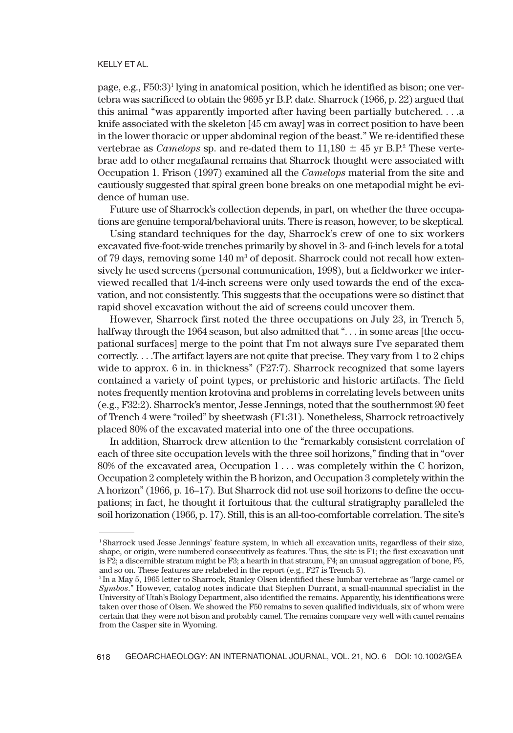page, e.g.,  $F50:3$ <sup>1</sup> lying in anatomical position, which he identified as bison; one vertebra was sacrificed to obtain the 9695 yr B.P. date. Sharrock (1966, p. 22) argued that this animal "was apparently imported after having been partially butchered. . . .a knife associated with the skeleton [45 cm away] was in correct position to have been in the lower thoracic or upper abdominal region of the beast." We re-identified these vertebrae as *Camelops* sp. and re-dated them to  $11,180 \pm 45$  yr B.P.<sup>2</sup> These vertebrae add to other megafaunal remains that Sharrock thought were associated with Occupation 1. Frison (1997) examined all the *Camelops* material from the site and cautiously suggested that spiral green bone breaks on one metapodial might be evidence of human use.

Future use of Sharrock's collection depends, in part, on whether the three occupations are genuine temporal/behavioral units. There is reason, however, to be skeptical.

Using standard techniques for the day, Sharrock's crew of one to six workers excavated five-foot-wide trenches primarily by shovel in 3- and 6-inch levels for a total of 79 days, removing some  $140 \text{ m}^3$  of deposit. Sharrock could not recall how extensively he used screens (personal communication, 1998), but a fieldworker we interviewed recalled that 1/4-inch screens were only used towards the end of the excavation, and not consistently. This suggests that the occupations were so distinct that rapid shovel excavation without the aid of screens could uncover them.

However, Sharrock first noted the three occupations on July 23, in Trench 5, halfway through the 1964 season, but also admitted that "... in some areas [the occupational surfaces] merge to the point that I'm not always sure I've separated them correctly. . . .The artifact layers are not quite that precise. They vary from 1 to 2 chips wide to approx. 6 in. in thickness" (F27:7). Sharrock recognized that some layers contained a variety of point types, or prehistoric and historic artifacts. The field notes frequently mention krotovina and problems in correlating levels between units (e.g., F32:2). Sharrock's mentor, Jesse Jennings, noted that the southernmost 90 feet of Trench 4 were "roiled" by sheetwash (F1:31). Nonetheless, Sharrock retroactively placed 80% of the excavated material into one of the three occupations.

In addition, Sharrock drew attention to the "remarkably consistent correlation of each of three site occupation levels with the three soil horizons," finding that in "over 80% of the excavated area, Occupation 1 . . . was completely within the C horizon, Occupation 2 completely within the B horizon, and Occupation 3 completely within the A horizon" (1966, p. 16–17). But Sharrock did not use soil horizons to define the occupations; in fact, he thought it fortuitous that the cultural stratigraphy paralleled the soil horizonation (1966, p. 17). Still, this is an all-too-comfortable correlation. The site's

<sup>1</sup> Sharrock used Jesse Jennings' feature system, in which all excavation units, regardless of their size, shape, or origin, were numbered consecutively as features. Thus, the site is F1; the first excavation unit is F2; a discernible stratum might be F3; a hearth in that stratum, F4; an unusual aggregation of bone, F5, and so on. These features are relabeled in the report (e.g., F27 is Trench 5).

<sup>2</sup> In a May 5, 1965 letter to Sharrock, Stanley Olsen identified these lumbar vertebrae as "large camel or *Symbos*." However, catalog notes indicate that Stephen Durrant, a small-mammal specialist in the University of Utah's Biology Department, also identified the remains. Apparently, his identifications were taken over those of Olsen. We showed the F50 remains to seven qualified individuals, six of whom were certain that they were not bison and probably camel. The remains compare very well with camel remains from the Casper site in Wyoming.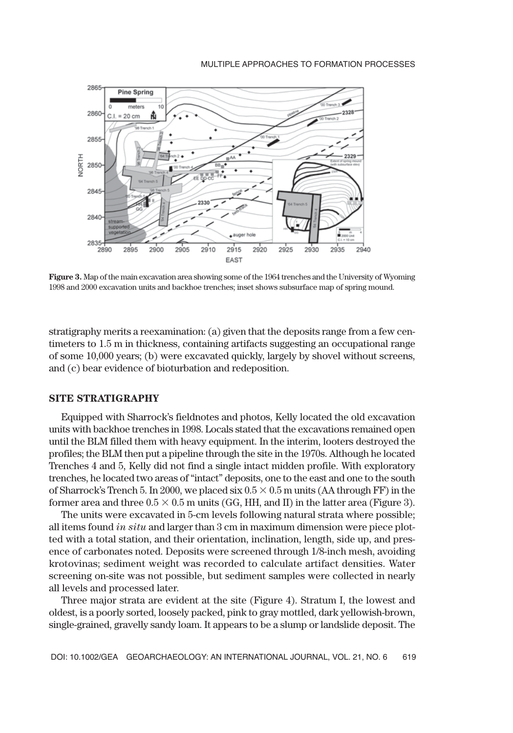

**Figure 3.** Map of the main excavation area showing some of the 1964 trenches and the University of Wyoming 1998 and 2000 excavation units and backhoe trenches; inset shows subsurface map of spring mound.

stratigraphy merits a reexamination: (a) given that the deposits range from a few centimeters to 1.5 m in thickness, containing artifacts suggesting an occupational range of some 10,000 years; (b) were excavated quickly, largely by shovel without screens, and (c) bear evidence of bioturbation and redeposition.

## **SITE STRATIGRAPHY**

Equipped with Sharrock's fieldnotes and photos, Kelly located the old excavation units with backhoe trenches in 1998. Locals stated that the excavations remained open until the BLM filled them with heavy equipment. In the interim, looters destroyed the profiles; the BLM then put a pipeline through the site in the 1970s. Although he located Trenches 4 and 5, Kelly did not find a single intact midden profile. With exploratory trenches, he located two areas of "intact" deposits, one to the east and one to the south of Sharrock's Trench 5. In 2000, we placed  $\rm{six}$  0.5  $\times$  0.5 m units (AA through FF) in the former area and three  $0.5 \times 0.5$  m units (GG, HH, and II) in the latter area (Figure 3).

The units were excavated in 5-cm levels following natural strata where possible; all items found *in situ* and larger than 3 cm in maximum dimension were piece plotted with a total station, and their orientation, inclination, length, side up, and presence of carbonates noted. Deposits were screened through 1/8-inch mesh, avoiding krotovinas; sediment weight was recorded to calculate artifact densities. Water screening on-site was not possible, but sediment samples were collected in nearly all levels and processed later.

Three major strata are evident at the site (Figure 4). Stratum I, the lowest and oldest, is a poorly sorted, loosely packed, pink to gray mottled, dark yellowish-brown, single-grained, gravelly sandy loam. It appears to be a slump or landslide deposit. The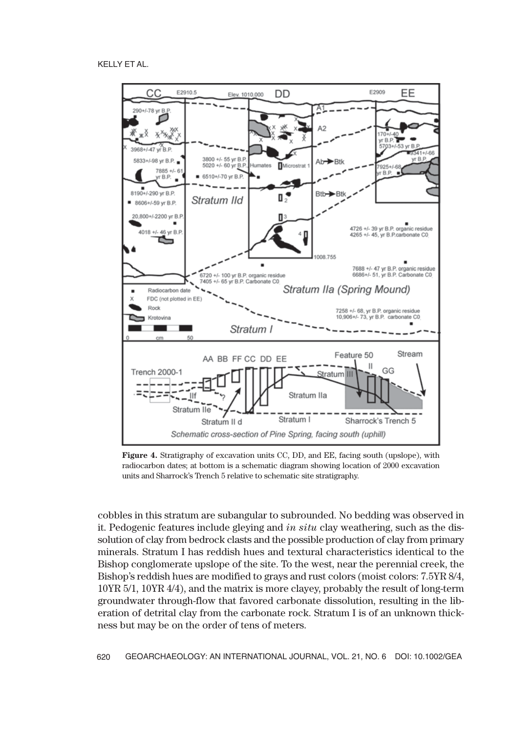

**Figure 4.** Stratigraphy of excavation units CC, DD, and EE, facing south (upslope), with radiocarbon dates; at bottom is a schematic diagram showing location of 2000 excavation units and Sharrock's Trench 5 relative to schematic site stratigraphy.

cobbles in this stratum are subangular to subrounded. No bedding was observed in it. Pedogenic features include gleying and *in situ* clay weathering, such as the dissolution of clay from bedrock clasts and the possible production of clay from primary minerals. Stratum I has reddish hues and textural characteristics identical to the Bishop conglomerate upslope of the site. To the west, near the perennial creek, the Bishop's reddish hues are modified to grays and rust colors (moist colors: 7.5YR 8/4, 10YR 5/1, 10YR 4/4), and the matrix is more clayey, probably the result of long-term groundwater through-flow that favored carbonate dissolution, resulting in the liberation of detrital clay from the carbonate rock. Stratum I is of an unknown thickness but may be on the order of tens of meters.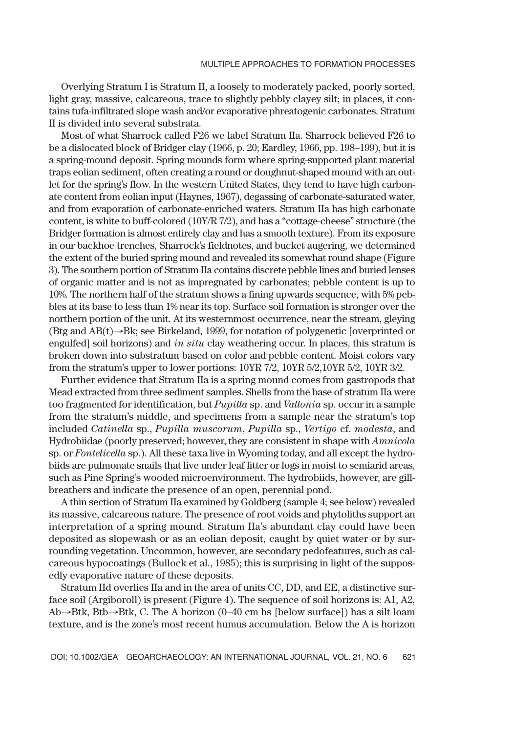Overlying Stratum I is Stratum II, a loosely to moderately packed, poorly sorted, light gray, massive, calcareous, trace to slightly pebbly clayey silt; in places, it contains tufa-infiltrated slope wash and/or evaporative phreatogenic carbonates. Stratum II is divided into several substrata.

Most of what Sharrock called F26 we label Stratum IIa. Sharrock believed F26 to be a dislocated block of Bridger clay (1966, p. 20; Eardley, 1966, pp. 198–199), but it is a spring-mound deposit. Spring mounds form where spring-supported plant material traps eolian sediment, often creating a round or doughnut-shaped mound with an outlet for the spring's flow. In the western United States, they tend to have high carbonate content from eolian input (Haynes, 1967), degassing of carbonate-saturated water, and from evaporation of carbonate-enriched waters. Stratum IIa has high carbonate content, is white to buff-colored (10Y/R 7/2), and has a "cottage-cheese" structure (the Bridger formation is almost entirely clay and has a smooth texture). From its exposure in our backhoe trenches, Sharrock's fieldnotes, and bucket augering, we determined the extent of the buried spring mound and revealed its somewhat round shape (Figure 3). The southern portion of Stratum IIa contains discrete pebble lines and buried lenses of organic matter and is not as impregnated by carbonates; pebble content is up to 10%. The northern half of the stratum shows a fining upwards sequence, with 5% pebbles at its base to less than 1% near its top. Surface soil formation is stronger over the northern portion of the unit. At its westernmost occurrence, near the stream, gleying (Btg and AB(t)→Bk; see Birkeland, 1999, for notation of polygenetic [overprinted or engulfed] soil horizons) and *in situ* clay weathering occur. In places, this stratum is broken down into substratum based on color and pebble content. Moist colors vary from the stratum's upper to lower portions: 10YR 7/2, 10YR 5/2,10YR 5/2, 10YR 3/2.

Further evidence that Stratum IIa is a spring mound comes from gastropods that Mead extracted from three sediment samples. Shells from the base of stratum IIa were too fragmented for identification, but *Pupilla* sp. and *Vallonia* sp. occur in a sample from the stratum's middle, and specimens from a sample near the stratum's top included *Catinella* sp., *Pupilla muscorum*, *Pupilla* sp., *Vertigo* cf. *modesta*, and Hydrobiidae (poorly preserved; however, they are consistent in shape with *Amnicola* sp. or *Fontelicella* sp.). All these taxa live in Wyoming today, and all except the hydrobiids are pulmonate snails that live under leaf litter or logs in moist to semiarid areas, such as Pine Spring's wooded microenvironment. The hydrobiids, however, are gillbreathers and indicate the presence of an open, perennial pond.

A thin section of Stratum IIa examined by Goldberg (sample 4; see below) revealed its massive, calcareous nature. The presence of root voids and phytoliths support an interpretation of a spring mound. Stratum IIa's abundant clay could have been deposited as slopewash or as an eolian deposit, caught by quiet water or by surrounding vegetation. Uncommon, however, are secondary pedofeatures, such as calcareous hypocoatings (Bullock et al., 1985); this is surprising in light of the supposedly evaporative nature of these deposits.

Stratum IId overlies IIa and in the area of units CC, DD, and EE, a distinctive surface soil (Argiboroll) is present (Figure 4). The sequence of soil horizons is: A1, A2, Ab→Btk, Btb→Btk, C. The A horizon (0–40 cm bs [below surface]) has a silt loam texture, and is the zone's most recent humus accumulation. Below the A is horizon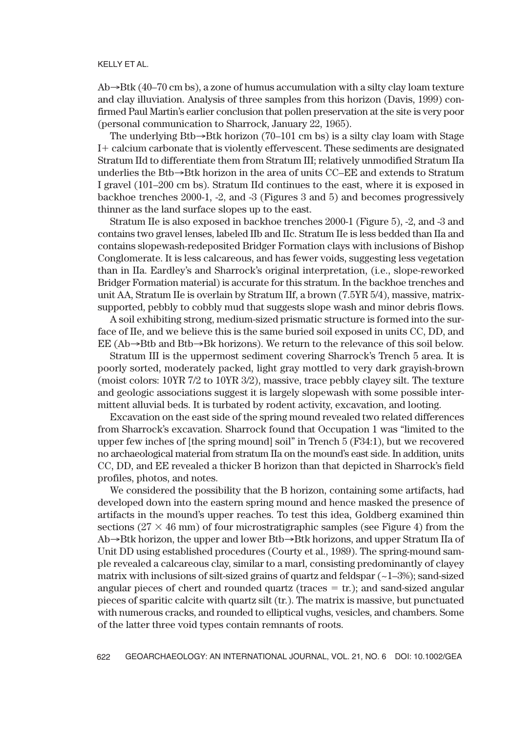Ab→Btk (40–70 cm bs), a zone of humus accumulation with a silty clay loam texture and clay illuviation. Analysis of three samples from this horizon (Davis, 1999) confirmed Paul Martin's earlier conclusion that pollen preservation at the site is very poor (personal communication to Sharrock, January 22, 1965).

The underlying Btb→Btk horizon (70–101 cm bs) is a silty clay loam with Stage I + calcium carbonate that is violently effervescent. These sediments are designated Stratum IId to differentiate them from Stratum III; relatively unmodified Stratum IIa underlies the Btb→Btk horizon in the area of units CC–EE and extends to Stratum I gravel (101–200 cm bs). Stratum IId continues to the east, where it is exposed in backhoe trenches 2000-1, -2, and -3 (Figures 3 and 5) and becomes progressively thinner as the land surface slopes up to the east.

Stratum IIe is also exposed in backhoe trenches 2000-1 (Figure 5), -2, and -3 and contains two gravel lenses, labeled IIb and IIc. Stratum IIe is less bedded than IIa and contains slopewash-redeposited Bridger Formation clays with inclusions of Bishop Conglomerate. It is less calcareous, and has fewer voids, suggesting less vegetation than in IIa. Eardley's and Sharrock's original interpretation, (i.e., slope-reworked Bridger Formation material) is accurate for this stratum. In the backhoe trenches and unit AA, Stratum IIe is overlain by Stratum IIf, a brown (7.5YR 5/4), massive, matrixsupported, pebbly to cobbly mud that suggests slope wash and minor debris flows.

A soil exhibiting strong, medium-sized prismatic structure is formed into the surface of IIe, and we believe this is the same buried soil exposed in units CC, DD, and EE (Ab→Btb and Btb→Bk horizons). We return to the relevance of this soil below.

Stratum III is the uppermost sediment covering Sharrock's Trench 5 area. It is poorly sorted, moderately packed, light gray mottled to very dark grayish-brown (moist colors: 10YR 7/2 to 10YR 3/2), massive, trace pebbly clayey silt. The texture and geologic associations suggest it is largely slopewash with some possible intermittent alluvial beds. It is turbated by rodent activity, excavation, and looting.

Excavation on the east side of the spring mound revealed two related differences from Sharrock's excavation. Sharrock found that Occupation 1 was "limited to the upper few inches of [the spring mound] soil" in Trench 5 (F34:1), but we recovered no archaeological material from stratum IIa on the mound's east side. In addition, units CC, DD, and EE revealed a thicker B horizon than that depicted in Sharrock's field profiles, photos, and notes.

We considered the possibility that the B horizon, containing some artifacts, had developed down into the eastern spring mound and hence masked the presence of artifacts in the mound's upper reaches. To test this idea, Goldberg examined thin sections  $(27 \times 46 \text{ mm})$  of four microstratigraphic samples (see Figure 4) from the Ab→Btk horizon, the upper and lower Btb→Btk horizons, and upper Stratum IIa of Unit DD using established procedures (Courty et al., 1989). The spring-mound sample revealed a calcareous clay, similar to a marl, consisting predominantly of clayey matrix with inclusions of silt-sized grains of quartz and feldspar  $(-1-3\%)$ ; sand-sized angular pieces of chert and rounded quartz (traces  $=$  tr.); and sand-sized angular pieces of sparitic calcite with quartz silt (tr.). The matrix is massive, but punctuated with numerous cracks, and rounded to elliptical vughs, vesicles, and chambers. Some of the latter three void types contain remnants of roots.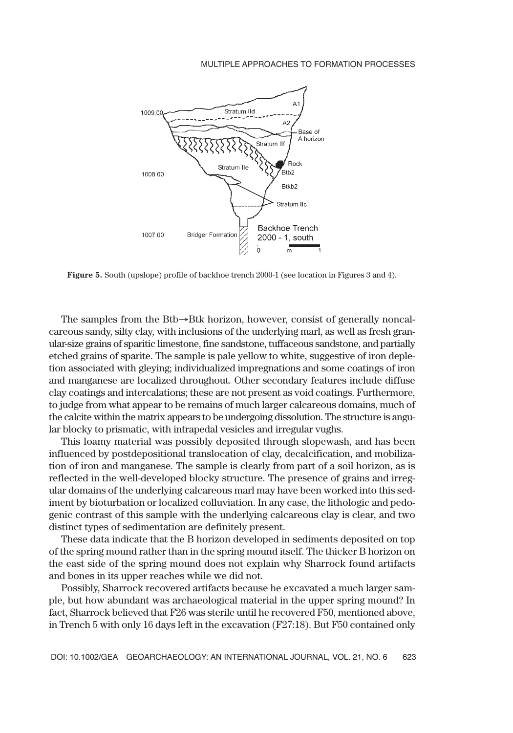

**Figure 5.** South (upslope) profile of backhoe trench 2000-1 (see location in Figures 3 and 4).

The samples from the Btb→Btk horizon, however, consist of generally noncalcareous sandy, silty clay, with inclusions of the underlying marl, as well as fresh granular-size grains of sparitic limestone, fine sandstone, tuffaceous sandstone, and partially etched grains of sparite. The sample is pale yellow to white, suggestive of iron depletion associated with gleying; individualized impregnations and some coatings of iron and manganese are localized throughout. Other secondary features include diffuse clay coatings and intercalations; these are not present as void coatings. Furthermore, to judge from what appear to be remains of much larger calcareous domains, much of the calcite within the matrix appears to be undergoing dissolution. The structure is angular blocky to prismatic, with intrapedal vesicles and irregular vughs.

This loamy material was possibly deposited through slopewash, and has been influenced by postdepositional translocation of clay, decalcification, and mobilization of iron and manganese. The sample is clearly from part of a soil horizon, as is reflected in the well-developed blocky structure. The presence of grains and irregular domains of the underlying calcareous marl may have been worked into this sediment by bioturbation or localized colluviation. In any case, the lithologic and pedogenic contrast of this sample with the underlying calcareous clay is clear, and two distinct types of sedimentation are definitely present.

These data indicate that the B horizon developed in sediments deposited on top of the spring mound rather than in the spring mound itself. The thicker B horizon on the east side of the spring mound does not explain why Sharrock found artifacts and bones in its upper reaches while we did not.

Possibly, Sharrock recovered artifacts because he excavated a much larger sample, but how abundant was archaeological material in the upper spring mound? In fact, Sharrock believed that F26 was sterile until he recovered F50, mentioned above, in Trench 5 with only 16 days left in the excavation (F27:18). But F50 contained only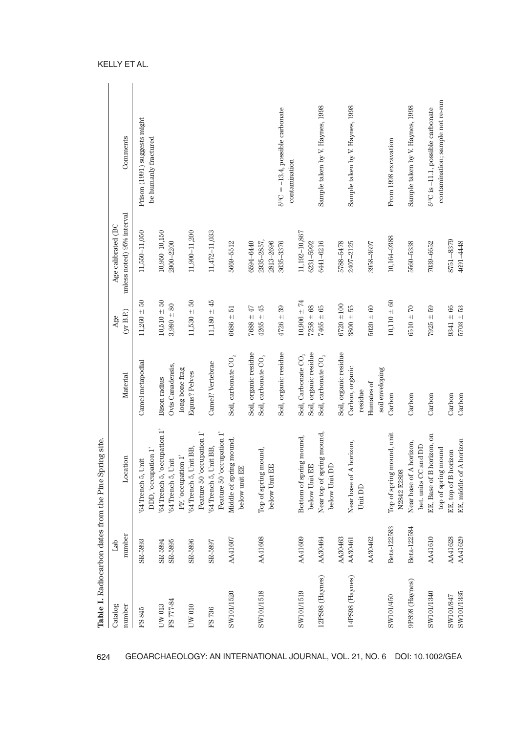| Catalog           | dab             |                                                    |                                 | Age                                       | Age calibrated (BC         |                                                      |
|-------------------|-----------------|----------------------------------------------------|---------------------------------|-------------------------------------------|----------------------------|------------------------------------------------------|
| number            | number          | Location                                           | Material                        | $({\mathbf{yr}\, \mathbf{B}.\mathbf{P}})$ | unless noted) 95% interval | Comments                                             |
| FS 845            | <b>SR-5893</b>  | DDD, 'occupation 1'<br>64 Trench 5, Unit           | Camel metapodial                | $50\,$<br>$11,260 =$                      | 11,550-11,050              | Frison (1991) suggests might<br>be humanly fractured |
| UW 013            | SR-5894         | 64 Trench 5, 'occupation 1'                        | <b>Bison</b> radius             | $10,510 = 50$                             | 10,950-10,150              |                                                      |
| <b>FS 777-84</b>  | SR-5895         | 64 Trench 5, Unit                                  | Ovis Canadensis,                | $3,980 + 80$                              | 2900-2200                  |                                                      |
|                   |                 | FF, 'occupation 1'                                 | long bone frag                  |                                           |                            |                                                      |
| UW010             | <b>SR-5896</b>  | 64 Trench 5, Unit BB,                              | Equus? Pelves                   | $11,530 + 50$                             | $11,900 - 11,200$          |                                                      |
|                   |                 | Feature 50 'occupation 1'                          |                                 |                                           |                            |                                                      |
| FS 736            | <b>SR-5897</b>  | Feature 50 'occupation 1'<br>64 Trench 5, Unit BB, | Canel? Vertebrae                | $11,180 \pm 45$                           | 11,472-11,033              |                                                      |
| SW101/1520        | AA41607         | Middle of spring mound,<br>below unit EE           | Soil, carbonate CO <sub>2</sub> | $6686 \pm 51$                             | 5669-5512                  |                                                      |
|                   |                 |                                                    | Soil, organic residue           | $7688 \pm 47$                             | 3594-6440                  |                                                      |
| <b>SW101/1518</b> | AA41608         | Top of spring mound,                               | Soil, carbonate CO,             | $4265 \pm 45$                             | 2935-2857,                 |                                                      |
|                   |                 | below Unit EE                                      |                                 |                                           | 2813-2696                  |                                                      |
|                   |                 |                                                    | Soil, organic residue           | $4726 + 39$                               | 3635-3376                  | $\delta^{13}C = -13.4$ , possible carbonate          |
|                   |                 |                                                    |                                 |                                           |                            | contamination                                        |
| SW101/1519        | AA41609         | Bottom of spring mound,                            | Soil, Carbonate CO <sub>2</sub> | $10,906 + 74$                             | 11,192-10,867              |                                                      |
|                   |                 | below Unit EE                                      | Soil, organic residue           | $7258 \pm 68$                             | 6231-5992                  |                                                      |
| 12PS98 (Haynes)   | AA30464         | Near top of spring mound,<br>below Unit DD         | Soil, carbonate CO <sub>2</sub> | $7465 \pm 65$                             | 6441-6216                  | Sample taken by V. Haynes, 1998                      |
|                   | AA30463         |                                                    | Soil, organic residue           | $6720 \pm 100$                            | 5788-5478                  |                                                      |
| 14PS98 (Haynes)   | AA30461         | Near base of A horizon,                            | Carbon, organic                 | $3800\,\pm\,55$                           | 2407-2125                  | Sample taken by V. Haynes, 1998                      |
|                   |                 | Unit DD                                            | residue                         |                                           |                            |                                                      |
|                   | AA30462         |                                                    | Humates of                      | $5020 \pm 60$                             | 3958-3697                  |                                                      |
|                   |                 |                                                    | soil enveloping                 |                                           |                            |                                                      |
| SW101/450         | 583<br>Beta-122 | Top of spring mound, unit<br>N2842 E2898           | Carbon                          | $10,110 = 60$                             | 10,164-9388                | From 1998 excavation                                 |
| 9PS98 (Haynes)    | 584<br>Beta-122 | Near base of A horizon,<br>bet. units CC and DD    | Carbon                          | $6510 = 70$                               | 5560-5338                  | Sample taken by V. Haynes, 1998                      |
| SW101/1340        | AA41610         | EE, Base of B horizon, on                          | Carbon                          | $7925 = 59$                               | 7039-6652                  | 8 <sup>13</sup> C is -11.1, possible carbonate       |
|                   |                 | top of spring mound                                |                                 |                                           |                            | contamination; sample not re-run                     |
| SW101/847         | <b>AA41628</b>  | EE, top of B horizon                               | Carbon                          | $9341 \pm 66$                             | 8751-8379                  |                                                      |
| SW101/1335        | AA41629         | EE, middle of A horizon                            | Carbon                          | $5703 + 53$                               | 4691-4448                  |                                                      |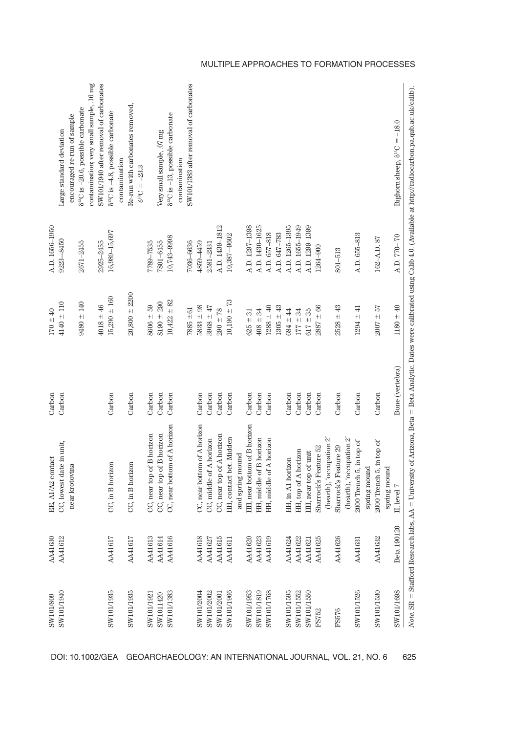| SW101/809         | AA41630        | EE, A1/A2 contact            | Carbon          | $170 \pm 40$     | A.D. 1656-1950 |                                                                                                                                                                                     |
|-------------------|----------------|------------------------------|-----------------|------------------|----------------|-------------------------------------------------------------------------------------------------------------------------------------------------------------------------------------|
| SW101/1940        | AA41612        | CC, lowest date in unit,     | Carbon          | $4140 \pm 110$   | 9223-8450      | Large standard deviation                                                                                                                                                            |
|                   |                | near krotovina               |                 |                  |                | encouraged re-run of sample                                                                                                                                                         |
|                   |                |                              |                 | $9480 \pm 140$   | 2671-2455      | 8 <sup>13</sup> C is -20.6, possible carbonate                                                                                                                                      |
|                   |                |                              |                 |                  |                | contamination; very small sample, .16 mg                                                                                                                                            |
|                   |                |                              |                 | $4018 \pm 46$    | 2925-2455      | SW101/1940 after removal of carbonates                                                                                                                                              |
| SW101/1935        | AA41617        | CC, in B horizon             | Carbon          | $15,290 \pm 160$ | 16,989-15,697  | 8 <sup>13</sup> C is -4.8, possible carbonate                                                                                                                                       |
|                   |                |                              |                 |                  |                | contamination                                                                                                                                                                       |
| SW101/1935        | AA41617        | CC, in B horizon             | Carbon          | $20,800 = 2200$  |                | Re-run with carbonates removed,                                                                                                                                                     |
|                   |                |                              |                 |                  |                | $\delta^{13}C = -23.3$                                                                                                                                                              |
| SW101/1921        | AA41613        | CC, near top of B horizon    | Carbon          | $8606 \pm 59$    | 7789-7535      |                                                                                                                                                                                     |
| SW1011420         | AA41614        | CC, near top of B horizon    | Carbon          | $8190 \pm 290$   | 7801-6455      | Very small sample, .07 mg                                                                                                                                                           |
| <b>SW101/1383</b> | AA41616        | CC, near bottom of A horizon | Carbon          | $10,422 = 82$    | 10,743-9998    | 8 <sup>13</sup> C is -13, possible carbonate                                                                                                                                        |
|                   |                |                              |                 |                  |                | contamination                                                                                                                                                                       |
|                   |                |                              |                 | $7885 + 61$      | 7036-6636      | SW101/1383 after removal of carbonates                                                                                                                                              |
| SW101/2004        | <b>AA41618</b> | CC, near bottom of A horizon | Carbon          | $5833 \pm 98$    | 4859-4459      |                                                                                                                                                                                     |
| SW101/2002        | AA41627        | CC, middle of A horizon      | Carbon          | $3968 \pm 47$    | 2581-2331      |                                                                                                                                                                                     |
| SW101/2001        | AA41615        | CC, near top of A horizon    | Carbon          | $290 \pm 78$     | A.D. 1439-1812 |                                                                                                                                                                                     |
| SW101/1966        | AA41611        | HH, contact bet. Midden      | Carbon          | $10,190 = 73$    | 10,387-9602    |                                                                                                                                                                                     |
|                   |                | and spring mound             |                 |                  |                |                                                                                                                                                                                     |
| SW101/1953        | AA41620        | HH, near bottom of B horizon | Carbon          | $625 \pm 31$     | A.D. 1297-1398 |                                                                                                                                                                                     |
| <b>SW101/1819</b> | AA41625        | HH, middle of B horizon      | Carbon          | $408 \pm 34$     | A.D. 1430-1625 |                                                                                                                                                                                     |
| SW101/1768        | AA41619        | HH, middle of A horizon      | Carbon          | $1288 \pm 40$    | A.D. 657-818   |                                                                                                                                                                                     |
|                   |                |                              |                 | $1305 \pm 43$    | A.D. 647-783   |                                                                                                                                                                                     |
| SW101/1595        | AA41624        | HH, in A1 horizon            | Carbon          | $684 \pm 44$     | A.D. 1265-1395 |                                                                                                                                                                                     |
| SW101/1552        | AA41622        | HH, top of A horizon         | Carbon          | $177 \pm 34$     | A.D. 1655-1949 |                                                                                                                                                                                     |
| SW101/1550        | AA41621        | HH, near top of unit         | Carbon          | $617 \pm 35$     | A.D. 1299-1399 |                                                                                                                                                                                     |
| FS752             | AA41625        | Sharrock's Feature 52        | Carbon          | $2887 = 66$      | 1264-900       |                                                                                                                                                                                     |
|                   |                | (hearth), 'occupation 2'     |                 |                  |                |                                                                                                                                                                                     |
| FS576             | AA41626        | Sharrock's Feature 29        | Carbon          | $2528 \pm 43$    | $801 - 513$    |                                                                                                                                                                                     |
|                   |                | (hearth), 'occupation 2'     |                 |                  |                |                                                                                                                                                                                     |
| SW101/1526        | AA4163         | 2000 Trench 5, in top of     | Carbon          | $1294 \pm 41$    | A.D. 655-813   |                                                                                                                                                                                     |
|                   |                | spring mound                 |                 |                  |                |                                                                                                                                                                                     |
| SW101/1530        | AA41632        | 2000 Trench 5, in top of     | Carbon          | $2007 + 57$      | 162-A.D. 87    |                                                                                                                                                                                     |
|                   |                | spring mound                 |                 |                  |                |                                                                                                                                                                                     |
| <b>SW101/1698</b> | Beta 190120    | II, level 7                  | Bone (vertebra) | $1180 \pm 40$    | A.D. 770-70    | Bighorn sheep, $\delta^{19}C = -18.0$                                                                                                                                               |
|                   |                |                              |                 |                  |                | Note. SR = Stafford Research labs, $AA =$ University of Arizona, Beta = Beta Analytic. Dates were calibrated using Calib 4.0. (Available at http://radiocarbon.pa.qub.ac.uk/calib). |

DOI: 10.1002/GEA GEOARCHAEOLOGY: AN INTERNATIONAL JOURNAL, VOL. 21, NO. 6 625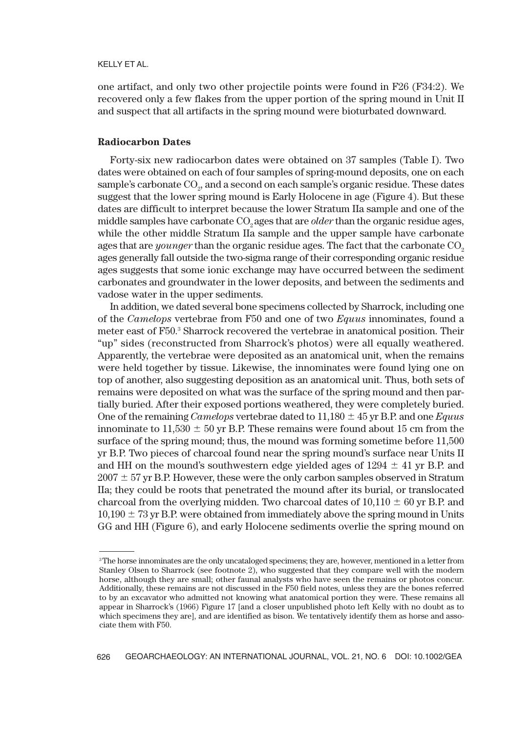one artifact, and only two other projectile points were found in F26 (F34:2). We recovered only a few flakes from the upper portion of the spring mound in Unit II and suspect that all artifacts in the spring mound were bioturbated downward.

## **Radiocarbon Dates**

Forty-six new radiocarbon dates were obtained on 37 samples (Table I). Two dates were obtained on each of four samples of spring-mound deposits, one on each sample's carbonate CO<sub>2</sub>, and a second on each sample's organic residue. These dates suggest that the lower spring mound is Early Holocene in age (Figure 4). But these dates are difficult to interpret because the lower Stratum IIa sample and one of the middle samples have carbonate CO<sub>2</sub> ages that are *older* than the organic residue ages, while the other middle Stratum IIa sample and the upper sample have carbonate ages that are *younger* than the organic residue ages. The fact that the carbonate CO<sub>2</sub> ages generally fall outside the two-sigma range of their corresponding organic residue ages suggests that some ionic exchange may have occurred between the sediment carbonates and groundwater in the lower deposits, and between the sediments and vadose water in the upper sediments.

In addition, we dated several bone specimens collected by Sharrock, including one of the *Camelops* vertebrae from F50 and one of two *Equus* innominates, found a meter east of F50.3 Sharrock recovered the vertebrae in anatomical position. Their "up" sides (reconstructed from Sharrock's photos) were all equally weathered. Apparently, the vertebrae were deposited as an anatomical unit, when the remains were held together by tissue. Likewise, the innominates were found lying one on top of another, also suggesting deposition as an anatomical unit. Thus, both sets of remains were deposited on what was the surface of the spring mound and then partially buried. After their exposed portions weathered, they were completely buried. One of the remaining *Camelops* vertebrae dated to  $11,180 \pm 45$  yr B.P. and one *Equus* innominate to  $11,530 \pm 50$  yr B.P. These remains were found about 15 cm from the surface of the spring mound; thus, the mound was forming sometime before 11,500 yr B.P. Two pieces of charcoal found near the spring mound's surface near Units II and HH on the mound's southwestern edge yielded ages of  $1294 \pm 41$  yr B.P. and  $2007 \pm 57$  yr B.P. However, these were the only carbon samples observed in Stratum IIa; they could be roots that penetrated the mound after its burial, or translocated charcoal from the overlying midden. Two charcoal dates of  $10,110 \pm 60$  yr B.P. and  $10,190 \pm 73$  yr B.P. were obtained from immediately above the spring mound in Units GG and HH (Figure 6), and early Holocene sediments overlie the spring mound on

<sup>&</sup>lt;sup>3</sup>The horse innominates are the only uncataloged specimens; they are, however, mentioned in a letter from Stanley Olsen to Sharrock (see footnote 2), who suggested that they compare well with the modern horse, although they are small; other faunal analysts who have seen the remains or photos concur. Additionally, these remains are not discussed in the F50 field notes, unless they are the bones referred to by an excavator who admitted not knowing what anatomical portion they were. These remains all appear in Sharrock's (1966) Figure 17 [and a closer unpublished photo left Kelly with no doubt as to which specimens they are], and are identified as bison. We tentatively identify them as horse and associate them with F50.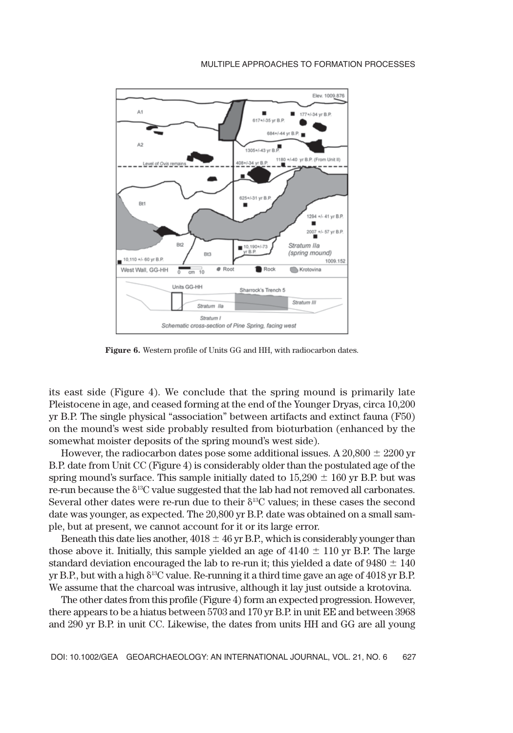

**Figure 6.** Western profile of Units GG and HH, with radiocarbon dates.

its east side (Figure 4). We conclude that the spring mound is primarily late Pleistocene in age, and ceased forming at the end of the Younger Dryas, circa 10,200 yr B.P. The single physical "association" between artifacts and extinct fauna (F50) on the mound's west side probably resulted from bioturbation (enhanced by the somewhat moister deposits of the spring mound's west side).

However, the radiocarbon dates pose some additional issues. A  $20,800 \pm 2200 \,\mathrm{yr}$ B.P. date from Unit CC (Figure 4) is considerably older than the postulated age of the spring mound's surface. This sample initially dated to  $15,290 \pm 160$  yr B.P. but was re-run because the  $\delta^{13}C$  value suggested that the lab had not removed all carbonates. Several other dates were re-run due to their  $\delta^{13}$ C values; in these cases the second date was younger, as expected. The 20,800 yr B.P. date was obtained on a small sample, but at present, we cannot account for it or its large error.

Beneath this date lies another,  $4018 \pm 46$  yr B.P., which is considerably younger than those above it. Initially, this sample yielded an age of  $4140 \pm 110$  yr B.P. The large standard deviation encouraged the lab to re-run it; this yielded a date of  $9480 \pm 140$ yr B.P., but with a high  $\delta^{13}C$  value. Re-running it a third time gave an age of 4018 yr B.P. We assume that the charcoal was intrusive, although it lay just outside a krotovina.

The other dates from this profile (Figure 4) form an expected progression. However, there appears to be a hiatus between 5703 and 170 yr B.P. in unit EE and between 3968 and 290 yr B.P. in unit CC. Likewise, the dates from units HH and GG are all young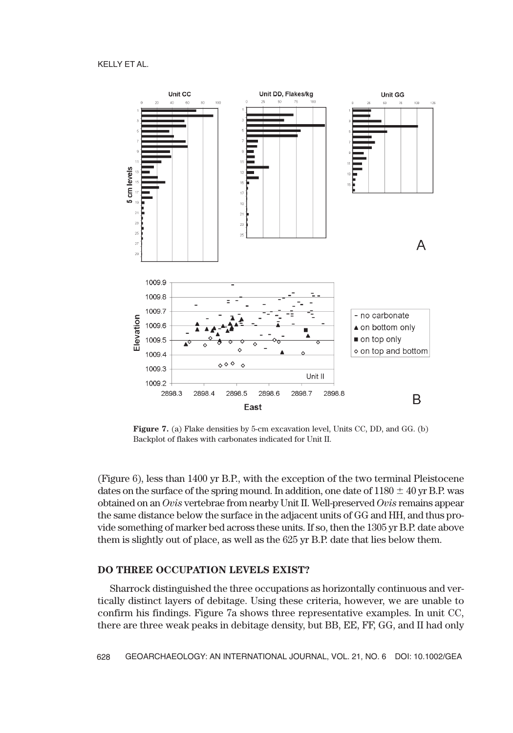

**Figure 7.** (a) Flake densities by 5-cm excavation level, Units CC, DD, and GG. (b) Backplot of flakes with carbonates indicated for Unit II.

(Figure 6), less than 1400 yr B.P., with the exception of the two terminal Pleistocene dates on the surface of the spring mound. In addition, one date of  $1180 \pm 40$  yr B.P. was obtained on an *Ovis* vertebrae from nearby Unit II. Well-preserved *Ovis* remains appear the same distance below the surface in the adjacent units of GG and HH, and thus provide something of marker bed across these units. If so, then the 1305 yr B.P. date above them is slightly out of place, as well as the 625 yr B.P. date that lies below them.

## **DO THREE OCCUPATION LEVELS EXIST?**

Sharrock distinguished the three occupations as horizontally continuous and vertically distinct layers of debitage. Using these criteria, however, we are unable to confirm his findings. Figure 7a shows three representative examples. In unit CC, there are three weak peaks in debitage density, but BB, EE, FF, GG, and II had only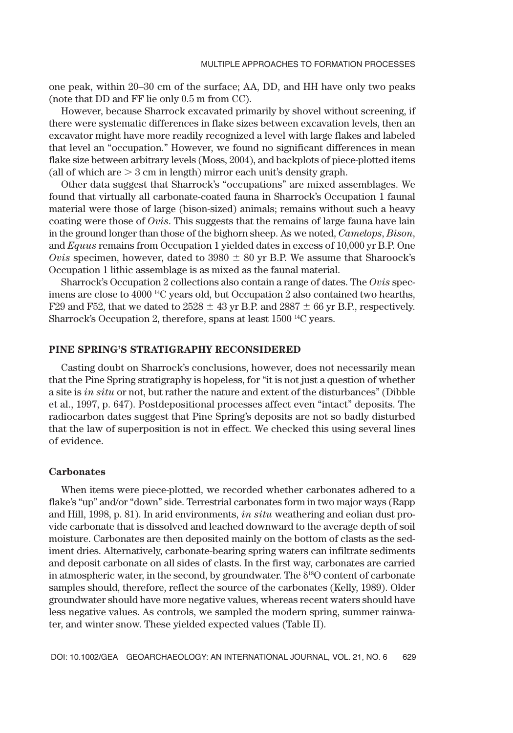one peak, within 20–30 cm of the surface; AA, DD, and HH have only two peaks (note that DD and FF lie only 0.5 m from CC).

However, because Sharrock excavated primarily by shovel without screening, if there were systematic differences in flake sizes between excavation levels, then an excavator might have more readily recognized a level with large flakes and labeled that level an "occupation." However, we found no significant differences in mean flake size between arbitrary levels (Moss, 2004), and backplots of piece-plotted items (all of which are  $> 3$  cm in length) mirror each unit's density graph.

Other data suggest that Sharrock's "occupations" are mixed assemblages. We found that virtually all carbonate-coated fauna in Sharrock's Occupation 1 faunal material were those of large (bison-sized) animals; remains without such a heavy coating were those of *Ovis*. This suggests that the remains of large fauna have lain in the ground longer than those of the bighorn sheep. As we noted, *Camelops*, *Bison*, and *Equus* remains from Occupation 1 yielded dates in excess of 10,000 yr B.P. One *Ovis* specimen, however, dated to  $3980 \pm 80$  yr B.P. We assume that Sharoock's Occupation 1 lithic assemblage is as mixed as the faunal material.

Sharrock's Occupation 2 collections also contain a range of dates. The *Ovis* specimens are close to 4000 14C years old, but Occupation 2 also contained two hearths, F29 and F52, that we dated to  $2528 \pm 43$  yr B.P. and  $2887 \pm 66$  yr B.P., respectively. Sharrock's Occupation 2, therefore, spans at least 1500 14C years.

## **PINE SPRING'S STRATIGRAPHY RECONSIDERED**

Casting doubt on Sharrock's conclusions, however, does not necessarily mean that the Pine Spring stratigraphy is hopeless, for "it is not just a question of whether a site is *in situ* or not, but rather the nature and extent of the disturbances" (Dibble et al., 1997, p. 647). Postdepositional processes affect even "intact" deposits. The radiocarbon dates suggest that Pine Spring's deposits are not so badly disturbed that the law of superposition is not in effect. We checked this using several lines of evidence.

## **Carbonates**

When items were piece-plotted, we recorded whether carbonates adhered to a flake's "up" and/or "down" side. Terrestrial carbonates form in two major ways (Rapp and Hill, 1998, p. 81). In arid environments, *in situ* weathering and eolian dust provide carbonate that is dissolved and leached downward to the average depth of soil moisture. Carbonates are then deposited mainly on the bottom of clasts as the sediment dries. Alternatively, carbonate-bearing spring waters can infiltrate sediments and deposit carbonate on all sides of clasts. In the first way, carbonates are carried in atmospheric water, in the second, by groundwater. The  $\delta^{18}$ O content of carbonate samples should, therefore, reflect the source of the carbonates (Kelly, 1989). Older groundwater should have more negative values, whereas recent waters should have less negative values. As controls, we sampled the modern spring, summer rainwater, and winter snow. These yielded expected values (Table II).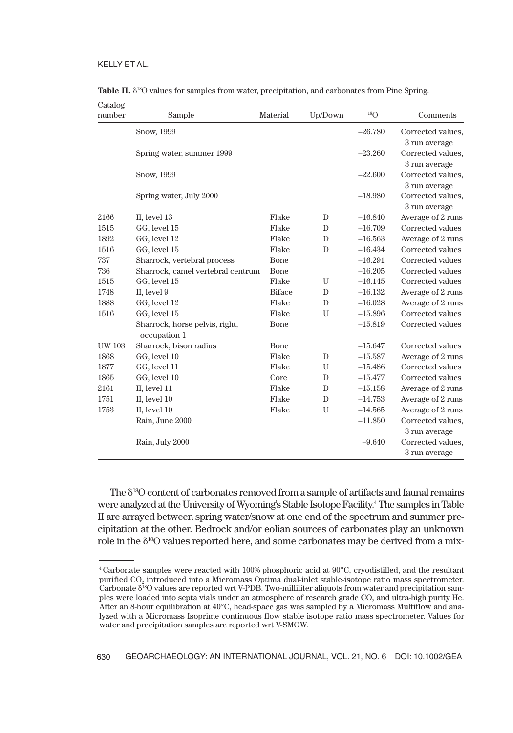| Catalog<br>number | Sample                                         | Material      | Up/Down | $^{18}O$  | Comments          |
|-------------------|------------------------------------------------|---------------|---------|-----------|-------------------|
|                   |                                                |               |         |           |                   |
|                   | Snow, 1999                                     |               |         | $-26.780$ | Corrected values, |
|                   |                                                |               |         |           | 3 run average     |
|                   | Spring water, summer 1999                      |               |         | $-23.260$ | Corrected values, |
|                   |                                                |               |         |           | 3 run average     |
|                   | Snow, 1999                                     |               |         | $-22.600$ | Corrected values, |
|                   |                                                |               |         |           | 3 run average     |
|                   | Spring water, July 2000                        |               |         | $-18.980$ | Corrected values, |
|                   |                                                |               |         |           | 3 run average     |
| 2166              | II, level $13$                                 | Flake         | D       | $-16.840$ | Average of 2 runs |
| 1515              | GG, level 15                                   | Flake         | D       | $-16.709$ | Corrected values  |
| 1892              | GG, level 12                                   | Flake         | D       | $-16.563$ | Average of 2 runs |
| 1516              | GG, level 15                                   | Flake         | D       | $-16.434$ | Corrected values  |
| 737               | Sharrock, vertebral process                    | Bone          |         | $-16.291$ | Corrected values  |
| 736               | Sharrock, camel vertebral centrum              | Bone          |         | $-16.205$ | Corrected values  |
| 1515              | GG, level 15                                   | Flake         | U       | $-16.145$ | Corrected values  |
| 1748              | II, level 9                                    | <b>Biface</b> | D       | $-16.132$ | Average of 2 runs |
| 1888              | GG, level 12                                   | Flake         | D       | $-16.028$ | Average of 2 runs |
| 1516              | GG, level 15                                   | Flake         | U       | $-15.896$ | Corrected values  |
|                   | Sharrock, horse pelvis, right,<br>occupation 1 | Bone          |         | $-15.819$ | Corrected values  |
| <b>UW 103</b>     | Sharrock, bison radius                         | Bone          |         | $-15.647$ | Corrected values  |
| 1868              | GG, level 10                                   | Flake         | D       | $-15.587$ | Average of 2 runs |
| 1877              | GG, level 11                                   | Flake         | U       | $-15.486$ | Corrected values  |
| 1865              | GG, level 10                                   | Core          | D       | $-15.477$ | Corrected values  |
| 2161              | II, level 11                                   | Flake         | D       | $-15.158$ | Average of 2 runs |
| 1751              | II, level 10                                   | Flake         | D       | $-14.753$ | Average of 2 runs |
| 1753              | II, level 10                                   | Flake         | U       | $-14.565$ | Average of 2 runs |
|                   | Rain, June 2000                                |               |         | $-11.850$ | Corrected values, |
|                   |                                                |               |         |           | 3 run average     |
|                   | Rain, July 2000                                |               |         | $-9.640$  | Corrected values, |
|                   |                                                |               |         |           | 3 run average     |

Table II.  $\delta^{18}$ O values for samples from water, precipitation, and carbonates from Pine Spring.

The  $\delta^{18}$ O content of carbonates removed from a sample of artifacts and faunal remains were analyzed at the University of Wyoming's Stable Isotope Facility.4 The samples in Table II are arrayed between spring water/snow at one end of the spectrum and summer precipitation at the other. Bedrock and/or eolian sources of carbonates play an unknown role in the  $\delta^{18}$ O values reported here, and some carbonates may be derived from a mix-

<sup>4</sup> Carbonate samples were reacted with 100% phosphoric acid at 90°C, cryodistilled, and the resultant purified CO2 introduced into a Micromass Optima dual-inlet stable-isotope ratio mass spectrometer. Carbonate  $\delta^{18}$ O values are reported wrt V-PDB. Two-milliliter aliquots from water and precipitation samples were loaded into septa vials under an atmosphere of research grade CO<sub>2</sub> and ultra-high purity He. After an 8-hour equilibration at 40°C, head-space gas was sampled by a Micromass Multiflow and analyzed with a Micromass Isoprime continuous flow stable isotope ratio mass spectrometer. Values for water and precipitation samples are reported wrt V-SMOW.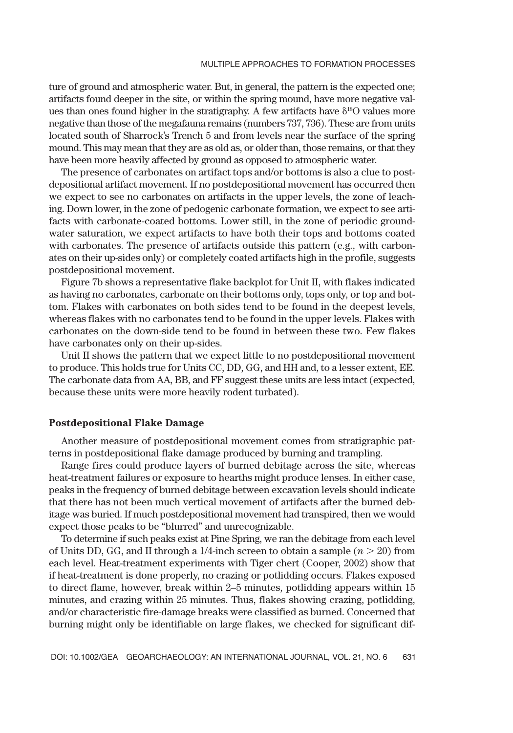ture of ground and atmospheric water. But, in general, the pattern is the expected one; artifacts found deeper in the site, or within the spring mound, have more negative values than ones found higher in the stratigraphy. A few artifacts have  $\delta^{18}O$  values more negative than those of the megafauna remains (numbers 737, 736). These are from units located south of Sharrock's Trench 5 and from levels near the surface of the spring mound. This may mean that they are as old as, or older than, those remains, or that they have been more heavily affected by ground as opposed to atmospheric water.

The presence of carbonates on artifact tops and/or bottoms is also a clue to postdepositional artifact movement. If no postdepositional movement has occurred then we expect to see no carbonates on artifacts in the upper levels, the zone of leaching. Down lower, in the zone of pedogenic carbonate formation, we expect to see artifacts with carbonate-coated bottoms. Lower still, in the zone of periodic groundwater saturation, we expect artifacts to have both their tops and bottoms coated with carbonates. The presence of artifacts outside this pattern (e.g., with carbonates on their up-sides only) or completely coated artifacts high in the profile, suggests postdepositional movement.

Figure 7b shows a representative flake backplot for Unit II, with flakes indicated as having no carbonates, carbonate on their bottoms only, tops only, or top and bottom. Flakes with carbonates on both sides tend to be found in the deepest levels, whereas flakes with no carbonates tend to be found in the upper levels. Flakes with carbonates on the down-side tend to be found in between these two. Few flakes have carbonates only on their up-sides.

Unit II shows the pattern that we expect little to no postdepositional movement to produce. This holds true for Units CC, DD, GG, and HH and, to a lesser extent, EE. The carbonate data from AA, BB, and FF suggest these units are less intact (expected, because these units were more heavily rodent turbated).

## **Postdepositional Flake Damage**

Another measure of postdepositional movement comes from stratigraphic patterns in postdepositional flake damage produced by burning and trampling.

Range fires could produce layers of burned debitage across the site, whereas heat-treatment failures or exposure to hearths might produce lenses. In either case, peaks in the frequency of burned debitage between excavation levels should indicate that there has not been much vertical movement of artifacts after the burned debitage was buried. If much postdepositional movement had transpired, then we would expect those peaks to be "blurred" and unrecognizable.

To determine if such peaks exist at Pine Spring, we ran the debitage from each level of Units DD, GG, and II through a  $1/4$ -inch screen to obtain a sample  $(n > 20)$  from each level. Heat-treatment experiments with Tiger chert (Cooper, 2002) show that if heat-treatment is done properly, no crazing or potlidding occurs. Flakes exposed to direct flame, however, break within 2–5 minutes, potlidding appears within 15 minutes, and crazing within 25 minutes. Thus, flakes showing crazing, potlidding, and/or characteristic fire-damage breaks were classified as burned. Concerned that burning might only be identifiable on large flakes, we checked for significant dif-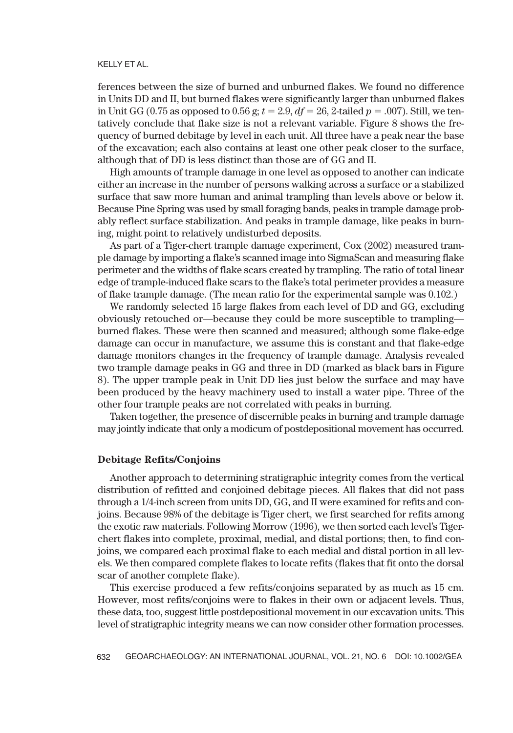ferences between the size of burned and unburned flakes. We found no difference in Units DD and II, but burned flakes were significantly larger than unburned flakes in Unit GG (0.75 as opposed to 0.56 g;  $t = 2.9$ ,  $df = 26$ , 2-tailed  $p = .007$ ). Still, we tentatively conclude that flake size is not a relevant variable. Figure 8 shows the frequency of burned debitage by level in each unit. All three have a peak near the base of the excavation; each also contains at least one other peak closer to the surface, although that of DD is less distinct than those are of GG and II.

High amounts of trample damage in one level as opposed to another can indicate either an increase in the number of persons walking across a surface or a stabilized surface that saw more human and animal trampling than levels above or below it. Because Pine Spring was used by small foraging bands, peaks in trample damage probably reflect surface stabilization. And peaks in trample damage, like peaks in burning, might point to relatively undisturbed deposits.

As part of a Tiger-chert trample damage experiment, Cox (2002) measured trample damage by importing a flake's scanned image into SigmaScan and measuring flake perimeter and the widths of flake scars created by trampling. The ratio of total linear edge of trample-induced flake scars to the flake's total perimeter provides a measure of flake trample damage. (The mean ratio for the experimental sample was 0.102.)

We randomly selected 15 large flakes from each level of DD and GG, excluding obviously retouched or—because they could be more susceptible to trampling burned flakes. These were then scanned and measured; although some flake-edge damage can occur in manufacture, we assume this is constant and that flake-edge damage monitors changes in the frequency of trample damage. Analysis revealed two trample damage peaks in GG and three in DD (marked as black bars in Figure 8). The upper trample peak in Unit DD lies just below the surface and may have been produced by the heavy machinery used to install a water pipe. Three of the other four trample peaks are not correlated with peaks in burning.

Taken together, the presence of discernible peaks in burning and trample damage may jointly indicate that only a modicum of postdepositional movement has occurred.

## **Debitage Refits/Conjoins**

Another approach to determining stratigraphic integrity comes from the vertical distribution of refitted and conjoined debitage pieces. All flakes that did not pass through a 1/4-inch screen from units DD, GG, and II were examined for refits and conjoins. Because 98% of the debitage is Tiger chert, we first searched for refits among the exotic raw materials. Following Morrow (1996), we then sorted each level's Tigerchert flakes into complete, proximal, medial, and distal portions; then, to find conjoins, we compared each proximal flake to each medial and distal portion in all levels. We then compared complete flakes to locate refits (flakes that fit onto the dorsal scar of another complete flake).

This exercise produced a few refits/conjoins separated by as much as 15 cm. However, most refits/conjoins were to flakes in their own or adjacent levels. Thus, these data, too, suggest little postdepositional movement in our excavation units. This level of stratigraphic integrity means we can now consider other formation processes.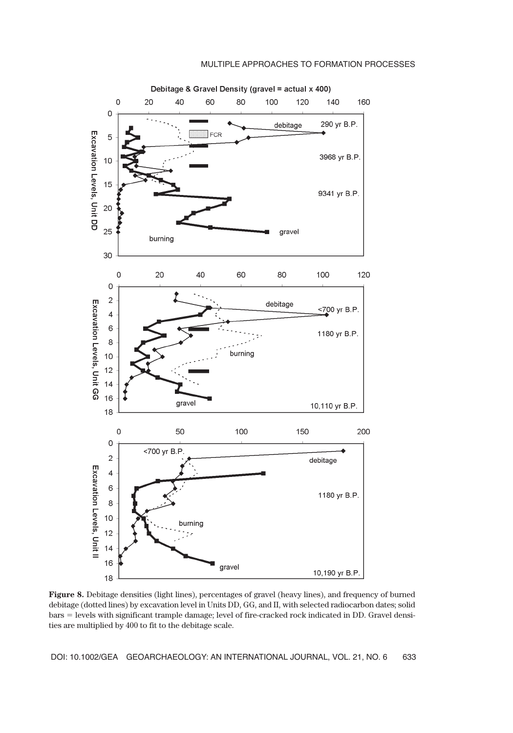

**Figure 8.** Debitage densities (light lines), percentages of gravel (heavy lines), and frequency of burned debitage (dotted lines) by excavation level in Units DD, GG, and II, with selected radiocarbon dates; solid bars = levels with significant trample damage; level of fire-cracked rock indicated in DD. Gravel densities are multiplied by 400 to fit to the debitage scale.

DOI: 10.1002/GEA GEOARCHAEOLOGY: AN INTERNATIONAL JOURNAL, VOL. 21, NO. 6 633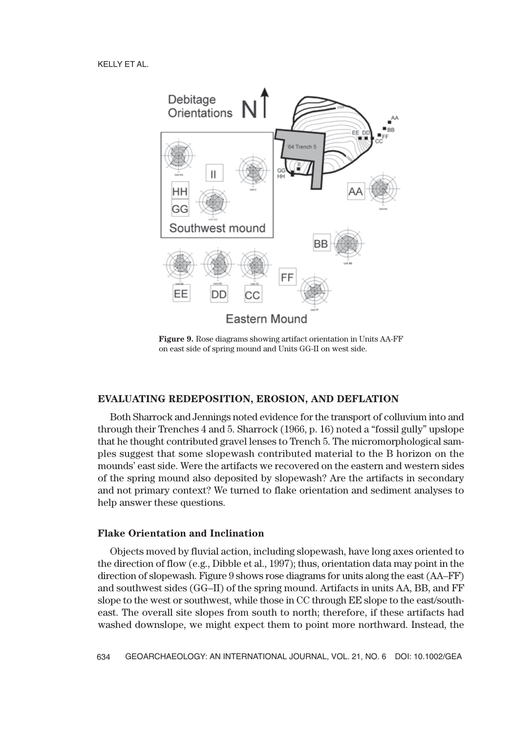

**Figure 9.** Rose diagrams showing artifact orientation in Units AA-FF on east side of spring mound and Units GG-II on west side.

## **EVALUATING REDEPOSITION, EROSION, AND DEFLATION**

Both Sharrock and Jennings noted evidence for the transport of colluvium into and through their Trenches 4 and 5. Sharrock (1966, p. 16) noted a "fossil gully" upslope that he thought contributed gravel lenses to Trench 5. The micromorphological samples suggest that some slopewash contributed material to the B horizon on the mounds' east side. Were the artifacts we recovered on the eastern and western sides of the spring mound also deposited by slopewash? Are the artifacts in secondary and not primary context? We turned to flake orientation and sediment analyses to help answer these questions.

## **Flake Orientation and Inclination**

Objects moved by fluvial action, including slopewash, have long axes oriented to the direction of flow (e.g., Dibble et al., 1997); thus, orientation data may point in the direction of slopewash. Figure 9 shows rose diagrams for units along the east (AA–FF) and southwest sides (GG–II) of the spring mound. Artifacts in units AA, BB, and FF slope to the west or southwest, while those in CC through EE slope to the east/southeast. The overall site slopes from south to north; therefore, if these artifacts had washed downslope, we might expect them to point more northward. Instead, the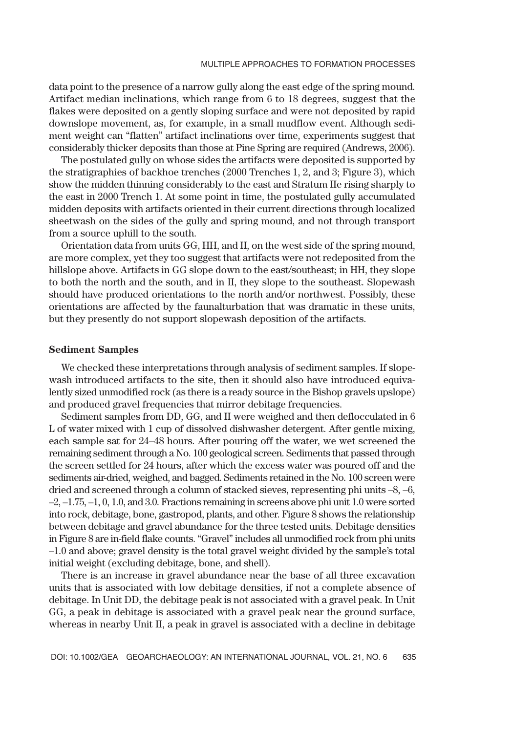data point to the presence of a narrow gully along the east edge of the spring mound. Artifact median inclinations, which range from 6 to 18 degrees, suggest that the flakes were deposited on a gently sloping surface and were not deposited by rapid downslope movement, as, for example, in a small mudflow event. Although sediment weight can "flatten" artifact inclinations over time, experiments suggest that considerably thicker deposits than those at Pine Spring are required (Andrews, 2006).

The postulated gully on whose sides the artifacts were deposited is supported by the stratigraphies of backhoe trenches (2000 Trenches 1, 2, and 3; Figure 3), which show the midden thinning considerably to the east and Stratum IIe rising sharply to the east in 2000 Trench 1. At some point in time, the postulated gully accumulated midden deposits with artifacts oriented in their current directions through localized sheetwash on the sides of the gully and spring mound, and not through transport from a source uphill to the south.

Orientation data from units GG, HH, and II, on the west side of the spring mound, are more complex, yet they too suggest that artifacts were not redeposited from the hillslope above. Artifacts in GG slope down to the east/southeast; in HH, they slope to both the north and the south, and in II, they slope to the southeast. Slopewash should have produced orientations to the north and/or northwest. Possibly, these orientations are affected by the faunalturbation that was dramatic in these units, but they presently do not support slopewash deposition of the artifacts.

## **Sediment Samples**

We checked these interpretations through analysis of sediment samples. If slopewash introduced artifacts to the site, then it should also have introduced equivalently sized unmodified rock (as there is a ready source in the Bishop gravels upslope) and produced gravel frequencies that mirror debitage frequencies.

Sediment samples from DD, GG, and II were weighed and then deflocculated in 6 L of water mixed with 1 cup of dissolved dishwasher detergent. After gentle mixing, each sample sat for 24–48 hours. After pouring off the water, we wet screened the remaining sediment through a No. 100 geological screen. Sediments that passed through the screen settled for 24 hours, after which the excess water was poured off and the sediments air-dried, weighed, and bagged. Sediments retained in the No. 100 screen were dried and screened through a column of stacked sieves, representing phi units –8, –6, –2, –1.75, –1, 0, 1.0, and 3.0. Fractions remaining in screens above phi unit 1.0 were sorted into rock, debitage, bone, gastropod, plants, and other. Figure 8 shows the relationship between debitage and gravel abundance for the three tested units. Debitage densities in Figure 8 are in-field flake counts. "Gravel" includes all unmodified rock from phi units –1.0 and above; gravel density is the total gravel weight divided by the sample's total initial weight (excluding debitage, bone, and shell).

There is an increase in gravel abundance near the base of all three excavation units that is associated with low debitage densities, if not a complete absence of debitage. In Unit DD, the debitage peak is not associated with a gravel peak. In Unit GG, a peak in debitage is associated with a gravel peak near the ground surface, whereas in nearby Unit II, a peak in gravel is associated with a decline in debitage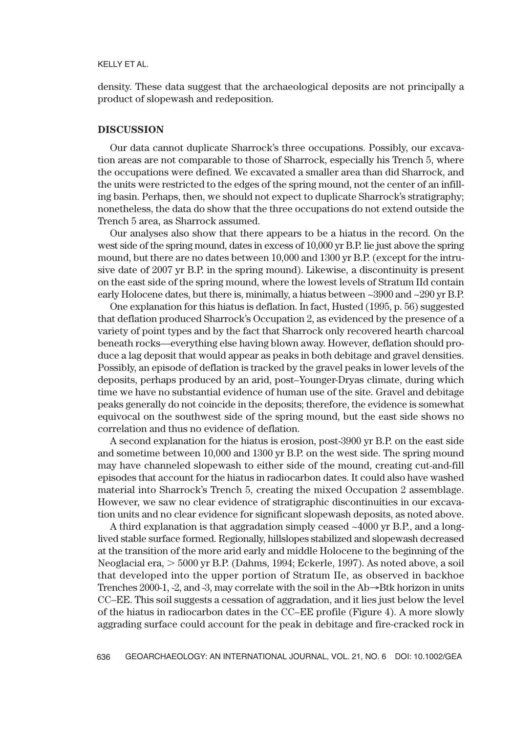density. These data suggest that the archaeological deposits are not principally a product of slopewash and redeposition.

## **DISCUSSION**

Our data cannot duplicate Sharrock's three occupations. Possibly, our excavation areas are not comparable to those of Sharrock, especially his Trench 5, where the occupations were defined. We excavated a smaller area than did Sharrock, and the units were restricted to the edges of the spring mound, not the center of an infilling basin. Perhaps, then, we should not expect to duplicate Sharrock's stratigraphy; nonetheless, the data do show that the three occupations do not extend outside the Trench 5 area, as Sharrock assumed.

Our analyses also show that there appears to be a hiatus in the record. On the west side of the spring mound, dates in excess of 10,000 yr B.P. lie just above the spring mound, but there are no dates between 10,000 and 1300 yr B.P. (except for the intrusive date of 2007 yr B.P. in the spring mound). Likewise, a discontinuity is present on the east side of the spring mound, where the lowest levels of Stratum IId contain early Holocene dates, but there is, minimally, a hiatus between ~3900 and ~290 yr B.P.

One explanation for this hiatus is deflation. In fact, Husted (1995, p. 56) suggested that deflation produced Sharrock's Occupation 2, as evidenced by the presence of a variety of point types and by the fact that Sharrock only recovered hearth charcoal beneath rocks—everything else having blown away. However, deflation should produce a lag deposit that would appear as peaks in both debitage and gravel densities. Possibly, an episode of deflation is tracked by the gravel peaks in lower levels of the deposits, perhaps produced by an arid, post–Younger-Dryas climate, during which time we have no substantial evidence of human use of the site. Gravel and debitage peaks generally do not coincide in the deposits; therefore, the evidence is somewhat equivocal on the southwest side of the spring mound, but the east side shows no correlation and thus no evidence of deflation.

A second explanation for the hiatus is erosion, post-3900 yr B.P. on the east side and sometime between 10,000 and 1300 yr B.P. on the west side. The spring mound may have channeled slopewash to either side of the mound, creating cut-and-fill episodes that account for the hiatus in radiocarbon dates. It could also have washed material into Sharrock's Trench 5, creating the mixed Occupation 2 assemblage. However, we saw no clear evidence of stratigraphic discontinuities in our excavation units and no clear evidence for significant slopewash deposits, as noted above.

A third explanation is that aggradation simply ceased ~4000 yr B.P., and a longlived stable surface formed. Regionally, hillslopes stabilized and slopewash decreased at the transition of the more arid early and middle Holocene to the beginning of the Neoglacial era, 5000 yr B.P. (Dahms, 1994; Eckerle, 1997). As noted above, a soil that developed into the upper portion of Stratum IIe, as observed in backhoe Trenches 2000-1, -2, and -3, may correlate with the soil in the Ab→Btk horizon in units CC–EE. This soil suggests a cessation of aggradation, and it lies just below the level of the hiatus in radiocarbon dates in the CC–EE profile (Figure 4). A more slowly aggrading surface could account for the peak in debitage and fire-cracked rock in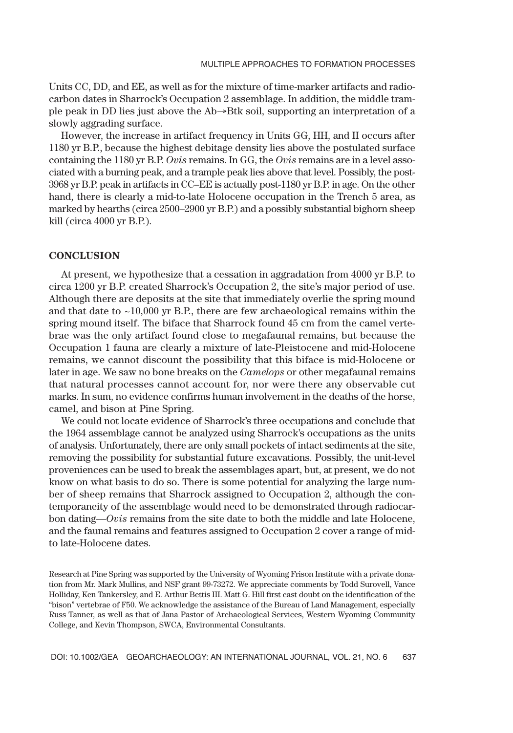Units CC, DD, and EE, as well as for the mixture of time-marker artifacts and radiocarbon dates in Sharrock's Occupation 2 assemblage. In addition, the middle trample peak in DD lies just above the Ab→Btk soil, supporting an interpretation of a slowly aggrading surface.

However, the increase in artifact frequency in Units GG, HH, and II occurs after 1180 yr B.P., because the highest debitage density lies above the postulated surface containing the 1180 yr B.P. *Ovis* remains. In GG, the *Ovis* remains are in a level associated with a burning peak, and a trample peak lies above that level. Possibly, the post-3968 yr B.P. peak in artifacts in CC–EE is actually post-1180 yr B.P. in age. On the other hand, there is clearly a mid-to-late Holocene occupation in the Trench 5 area, as marked by hearths (circa 2500–2900 yr B.P.) and a possibly substantial bighorn sheep kill (circa 4000 yr B.P.).

## **CONCLUSION**

At present, we hypothesize that a cessation in aggradation from 4000 yr B.P. to circa 1200 yr B.P. created Sharrock's Occupation 2, the site's major period of use. Although there are deposits at the site that immediately overlie the spring mound and that date to  $\sim$  10,000 yr B.P., there are few archaeological remains within the spring mound itself. The biface that Sharrock found 45 cm from the camel vertebrae was the only artifact found close to megafaunal remains, but because the Occupation 1 fauna are clearly a mixture of late-Pleistocene and mid-Holocene remains, we cannot discount the possibility that this biface is mid-Holocene or later in age. We saw no bone breaks on the *Camelops* or other megafaunal remains that natural processes cannot account for, nor were there any observable cut marks. In sum, no evidence confirms human involvement in the deaths of the horse, camel, and bison at Pine Spring.

We could not locate evidence of Sharrock's three occupations and conclude that the 1964 assemblage cannot be analyzed using Sharrock's occupations as the units of analysis. Unfortunately, there are only small pockets of intact sediments at the site, removing the possibility for substantial future excavations. Possibly, the unit-level proveniences can be used to break the assemblages apart, but, at present, we do not know on what basis to do so. There is some potential for analyzing the large number of sheep remains that Sharrock assigned to Occupation 2, although the contemporaneity of the assemblage would need to be demonstrated through radiocarbon dating—*Ovis* remains from the site date to both the middle and late Holocene, and the faunal remains and features assigned to Occupation 2 cover a range of midto late-Holocene dates.

Research at Pine Spring was supported by the University of Wyoming Frison Institute with a private donation from Mr. Mark Mullins, and NSF grant 99-73272. We appreciate comments by Todd Surovell, Vance Holliday, Ken Tankersley, and E. Arthur Bettis III. Matt G. Hill first cast doubt on the identification of the "bison" vertebrae of F50. We acknowledge the assistance of the Bureau of Land Management, especially Russ Tanner, as well as that of Jana Pastor of Archaeological Services, Western Wyoming Community College, and Kevin Thompson, SWCA, Environmental Consultants.

DOI: 10.1002/GEA GEOARCHAEOLOGY: AN INTERNATIONAL JOURNAL, VOL. 21, NO. 6 637